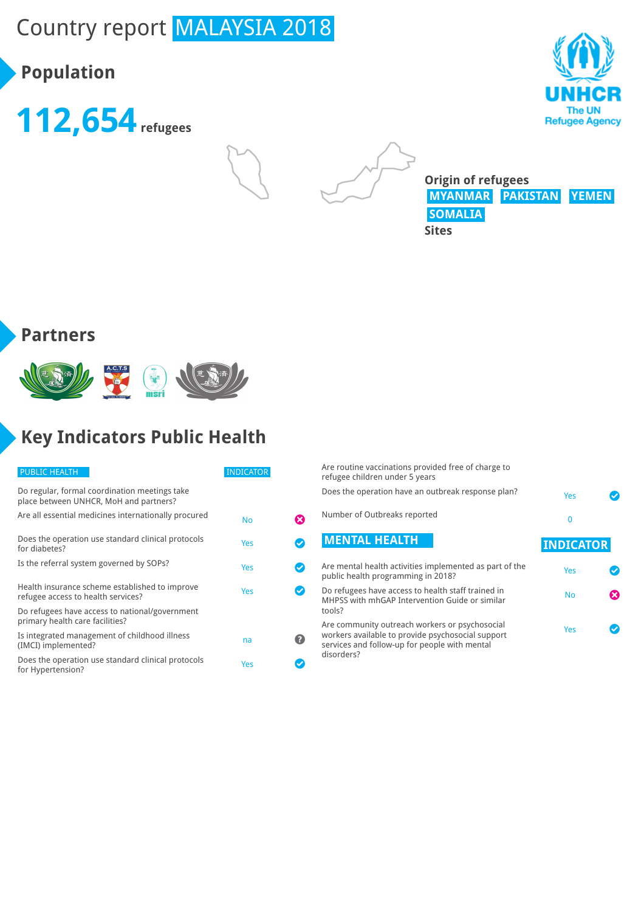# Country report MALAYSIA 2018

# **Population**







**Origin of refugees MYANMAR PAKISTAN YEMEN SOMALIA Sites**

#### **Partners**



# **Key Indicators Public Health**

| <b>PUBLIC HEALTH</b>                                                                    | <b>INDICATOR</b> |    |
|-----------------------------------------------------------------------------------------|------------------|----|
| Do regular, formal coordination meetings take<br>place between UNHCR, MoH and partners? |                  |    |
| Are all essential medicines internationally procured                                    | No               | X) |
| Does the operation use standard clinical protocols<br>for diabetes?                     | Yes              |    |
| Is the referral system governed by SOPs?                                                | Yes              |    |
| Health insurance scheme established to improve<br>refugee access to health services?    | Yes              |    |
| Do refugees have access to national/government<br>primary health care facilities?       |                  |    |
| Is integrated management of childhood illness<br>(IMCI) implemented?                    | na               | 2. |
| Does the operation use standard clinical protocols<br>for Hypertension?                 | Yes              |    |

Are routine vaccinations provided free of charge to refugee children under 5 years Does the operation have an outbreak response plan? Number of Outbreaks reported **MENTAL HEALTH** 

| Are mental health activities implemented as part of the<br>public health programming in 2018?                  | Yes       |    |
|----------------------------------------------------------------------------------------------------------------|-----------|----|
| Do refugees have access to health staff trained in<br>MHPSS with mhGAP Intervention Guide or similar<br>tools? | <b>No</b> | X) |
| Are community outreach workers or psychosocial<br>workers available to provide psychosocial support            | Yes       |    |

workers available to provide psychosocial support services and follow-up for people with mental disorders?

|   | Yes              |
|---|------------------|
|   | 0                |
|   | <b>INDICATOR</b> |
|   | Yes              |
| ೞ | No               |
|   | Yes              |